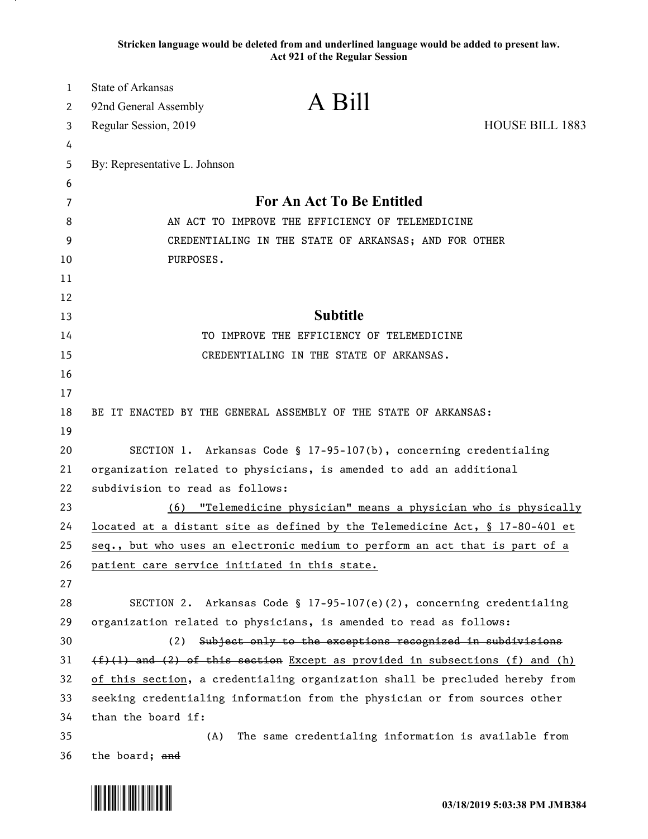**Stricken language would be deleted from and underlined language would be added to present law. Act 921 of the Regular Session**

| $\mathbf{1}$ | <b>State of Arkansas</b>                                                   |                                                                              |                        |
|--------------|----------------------------------------------------------------------------|------------------------------------------------------------------------------|------------------------|
| 2            | 92nd General Assembly                                                      | A Bill                                                                       |                        |
| 3            | Regular Session, 2019                                                      |                                                                              | <b>HOUSE BILL 1883</b> |
| 4            |                                                                            |                                                                              |                        |
| 5            | By: Representative L. Johnson                                              |                                                                              |                        |
| 6            |                                                                            |                                                                              |                        |
| 7            | <b>For An Act To Be Entitled</b>                                           |                                                                              |                        |
| 8            | AN ACT TO IMPROVE THE EFFICIENCY OF TELEMEDICINE                           |                                                                              |                        |
| 9            | CREDENTIALING IN THE STATE OF ARKANSAS; AND FOR OTHER                      |                                                                              |                        |
| 10           | PURPOSES.                                                                  |                                                                              |                        |
| 11           |                                                                            |                                                                              |                        |
| 12           |                                                                            |                                                                              |                        |
| 13           |                                                                            | <b>Subtitle</b>                                                              |                        |
| 14           |                                                                            | TO IMPROVE THE EFFICIENCY OF TELEMEDICINE                                    |                        |
| 15           |                                                                            | CREDENTIALING IN THE STATE OF ARKANSAS.                                      |                        |
| 16           |                                                                            |                                                                              |                        |
| 17           |                                                                            |                                                                              |                        |
| 18           |                                                                            | BE IT ENACTED BY THE GENERAL ASSEMBLY OF THE STATE OF ARKANSAS:              |                        |
| 19           |                                                                            |                                                                              |                        |
| 20           |                                                                            | SECTION 1. Arkansas Code § 17-95-107(b), concerning credentialing            |                        |
| 21           | organization related to physicians, is amended to add an additional        |                                                                              |                        |
| 22           | subdivision to read as follows:                                            |                                                                              |                        |
| 23           | (6)                                                                        | "Telemedicine physician" means a physician who is physically                 |                        |
| 24           |                                                                            | located at a distant site as defined by the Telemedicine Act, § 17-80-401 et |                        |
| 25           |                                                                            | seq., but who uses an electronic medium to perform an act that is part of a  |                        |
| 26           |                                                                            | patient care service initiated in this state.                                |                        |
| 27           |                                                                            |                                                                              |                        |
| 28           |                                                                            | SECTION 2. Arkansas Code § 17-95-107(e)(2), concerning credentialing         |                        |
| 29           |                                                                            | organization related to physicians, is amended to read as follows:           |                        |
| 30           | (2)                                                                        | Subject only to the exceptions recognized in subdivisions                    |                        |
| 31           |                                                                            | (f)(1) and (2) of this section Except as provided in subsections (f) and (h) |                        |
| 32           |                                                                            | of this section, a credentialing organization shall be precluded hereby from |                        |
| 33           | seeking credentialing information from the physician or from sources other |                                                                              |                        |
| 34           | than the board if:                                                         |                                                                              |                        |
| 35           | (A)                                                                        | The same credentialing information is available from                         |                        |
| 36           | the board; and                                                             |                                                                              |                        |

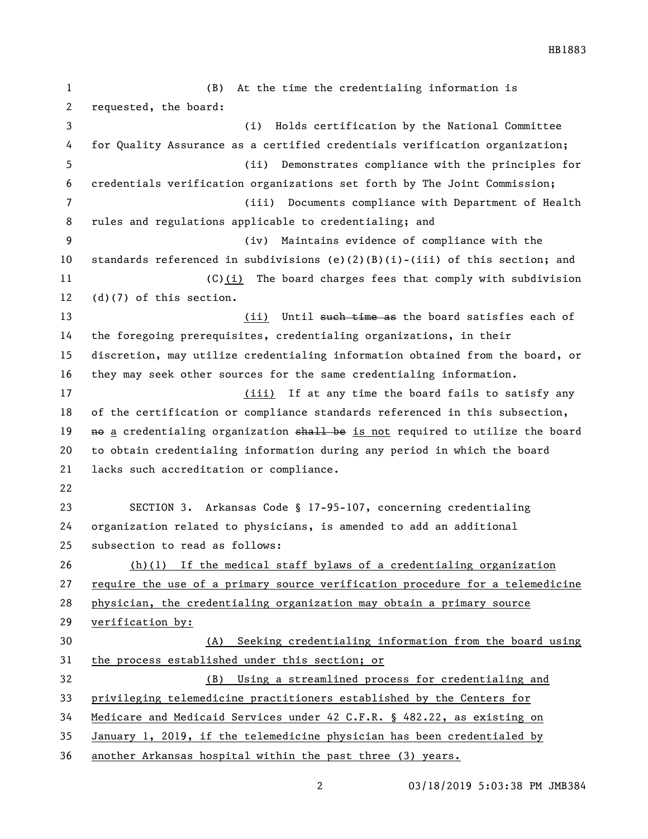(B) At the time the credentialing information is requested, the board: (i) Holds certification by the National Committee for Quality Assurance as a certified credentials verification organization; (ii) Demonstrates compliance with the principles for credentials verification organizations set forth by The Joint Commission; (iii) Documents compliance with Department of Health rules and regulations applicable to credentialing; and (iv) Maintains evidence of compliance with the standards referenced in subdivisions (e)(2)(B)(i)-(iii) of this section; and (C)(i) The board charges fees that comply with subdivision (d)(7) of this section. 13 (ii) Until such time as the board satisfies each of the foregoing prerequisites, credentialing organizations, in their discretion, may utilize credentialing information obtained from the board, or they may seek other sources for the same credentialing information. 17 (iii) If at any time the board fails to satisfy any of the certification or compliance standards referenced in this subsection, 19 no a credentialing organization shall be is not required to utilize the board to obtain credentialing information during any period in which the board lacks such accreditation or compliance. SECTION 3. Arkansas Code § 17-95-107, concerning credentialing organization related to physicians, is amended to add an additional subsection to read as follows: (h)(1) If the medical staff bylaws of a credentialing organization require the use of a primary source verification procedure for a telemedicine physician, the credentialing organization may obtain a primary source verification by: (A) Seeking credentialing information from the board using the process established under this section; or (B) Using a streamlined process for credentialing and privileging telemedicine practitioners established by the Centers for Medicare and Medicaid Services under 42 C.F.R. § 482.22, as existing on January 1, 2019, if the telemedicine physician has been credentialed by

another Arkansas hospital within the past three (3) years.

03/18/2019 5:03:38 PM JMB384

HB1883